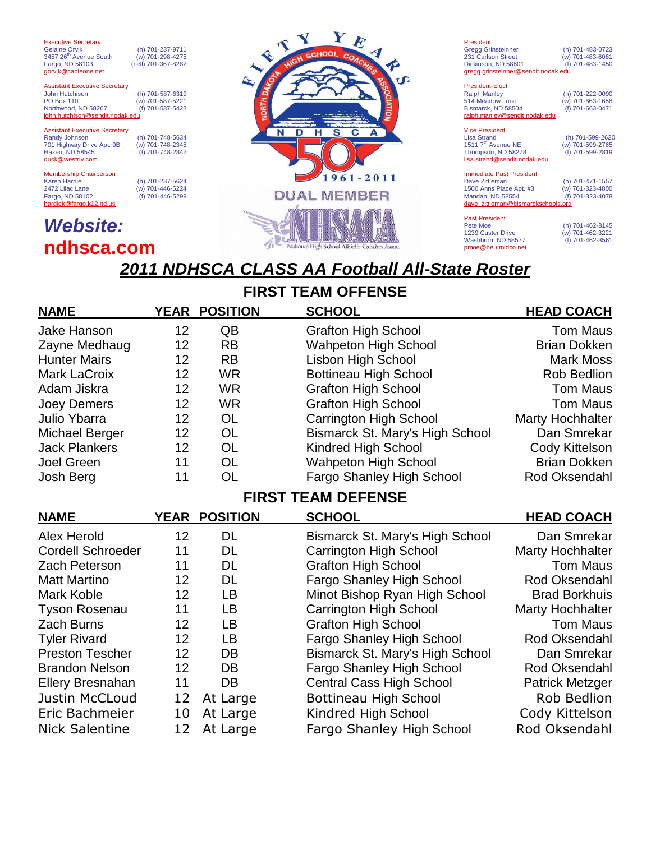Executive Secretary<br>Gelaine Orvik  $3457 26<sup>th</sup>$  Avenue South Fargo, ND 58103  $\sin \omega$ eableone.

(h) 701-237-9711<br>(w) 701-298-4275 (cell) 701-367-8282

Assistant Executive Secretary John Hutchison (h) 701-587-6319  $(m)$  701-587-5221<br>(f) 701-587-5423 Northwood, ND 58267 (f) 701-587-5423<br> **john.hutchison@sendit.nodak.edu** 

#### Assistant Executive Secretary<br>Randy Johnson 701 Highway Drive Apt. 9B (w) 701-748-2345 Hazen, ND 58545 duck@westriv.com

Membership Chairperson<br>Karen Hardie Karen Hardie (h) 701-237-5624 2472 Lilac Lane (w) 701-446-5224 Fargo, ND 58102 (f) 701-446-5299 hardiek@fargo.k12.nd.us

(h) 701-748-5634<br>(w) 701-748-2345

# *Website:* **ndhsca.com**



### President Gregg Grinsteinner (h) 701-483-0723 231 Carlson Street (w) 701-483-6081 Dickinson, ND 58601 (f) 701-483-1450 gregg.grinstei President-Elect Ralph Manley (h) 701-222-0090<br>514 Meadow Lane (w) 701-663-1658 514 Meadow Lane (w) 701-663-1658

Bismarck, ND 58504 ralph.manley@sendit.nodak.edu Vice President Lisa Strand (h) 701-599-2620 1511 7th Avenue NE (w) 701-599-2765 Thompson, ND 58278 (f) 701-599-2819 lisa.strand@sendit.n Immediate Past President Dave Zittleman (h) 701-471-1557 1500 Anns Place Apt. #3 (w) 701-323-4800 Manison Castronanne Castronanne (h) 701-471-1557<br>1500 Anns Place Apt. #3 (w) 701-323-4800<br>Mandan, ND 58554 (f) 701-323-4078

dave\_zittleman@bismarckschools.org Past President<br>Pete Moe

1239 Custer Drive (w) 701-462-3221<br>1239 Custer Drive (w) 701-462-3221<br>Washburn, ND 58577 (f) 701-462-3561 Washburn, ND 58577 pmoe@beu.midco.net

(h) 701-462-8145<br>(w) 701-462-3221

# *2011 NDHSCA CLASS AA Football All-State Roster*

## **FIRST TEAM OFFENSE**

### **NAME YEAR POSITION SCHOOL HEAD COACH** Jake Hanson 12 QB Grafton High School Tom Maus Zayne Medhaug 12 RB Wahpeton High School Brian Dokken Hunter Mairs **12** RB Lisbon High School Mark Moss Mark LaCroix 12 WR Bottineau High School Rob Bedlion Adam Jiskra 12 WR Grafton High School Tom Maus Joey Demers 12 WR Grafton High School Tom Maus Julio Ybarra 12 OL Carrington High School Marty Hochhalter Michael Berger 12 OL Bismarck St. Mary's High School Dan Smrekar Jack Plankers 12 OL Kindred High School Cody Kittelson Joel Green 11 OL Wahpeton High School Brian Dokken Josh Berg 11 OL Fargo Shanley High School Rod Oksendahl

### **FIRST TEAM DEFENSE**

| <b>NAME</b>              | YEAR | <b>POSITION</b> | <b>SCHOOL</b>                    | <b>HEAD COACH</b>       |
|--------------------------|------|-----------------|----------------------------------|-------------------------|
| Alex Herold              | 12   | DL              | Bismarck St. Mary's High School  | Dan Smrekar             |
| <b>Cordell Schroeder</b> | 11   | <b>DL</b>       | <b>Carrington High School</b>    | <b>Marty Hochhalter</b> |
| Zach Peterson            | 11   | <b>DL</b>       | <b>Grafton High School</b>       | <b>Tom Maus</b>         |
| <b>Matt Martino</b>      | 12   | DL              | <b>Fargo Shanley High School</b> | Rod Oksendahl           |
| Mark Koble               | 12   | <b>LB</b>       | Minot Bishop Ryan High School    | <b>Brad Borkhuis</b>    |
| <b>Tyson Rosenau</b>     | 11   | LB              | <b>Carrington High School</b>    | <b>Marty Hochhalter</b> |
| Zach Burns               | 12   | LB              | <b>Grafton High School</b>       | <b>Tom Maus</b>         |
| <b>Tyler Rivard</b>      | 12   | <b>LB</b>       | Fargo Shanley High School        | Rod Oksendahl           |
| <b>Preston Tescher</b>   | 12   | DB              | Bismarck St. Mary's High School  | Dan Smrekar             |
| <b>Brandon Nelson</b>    | 12   | DB              | Fargo Shanley High School        | Rod Oksendahl           |
| <b>Ellery Bresnahan</b>  | 11   | DB              | <b>Central Cass High School</b>  | <b>Patrick Metzger</b>  |
| <b>Justin McCLoud</b>    | 12   | At Large        | Bottineau High School            | Rob Bedlion             |
| Eric Bachmeier           | 10   | At Large        | Kindred High School              | Cody Kittelson          |
| <b>Nick Salentine</b>    |      | At Large        | Fargo Shanley High School        | Rod Oksendahl           |